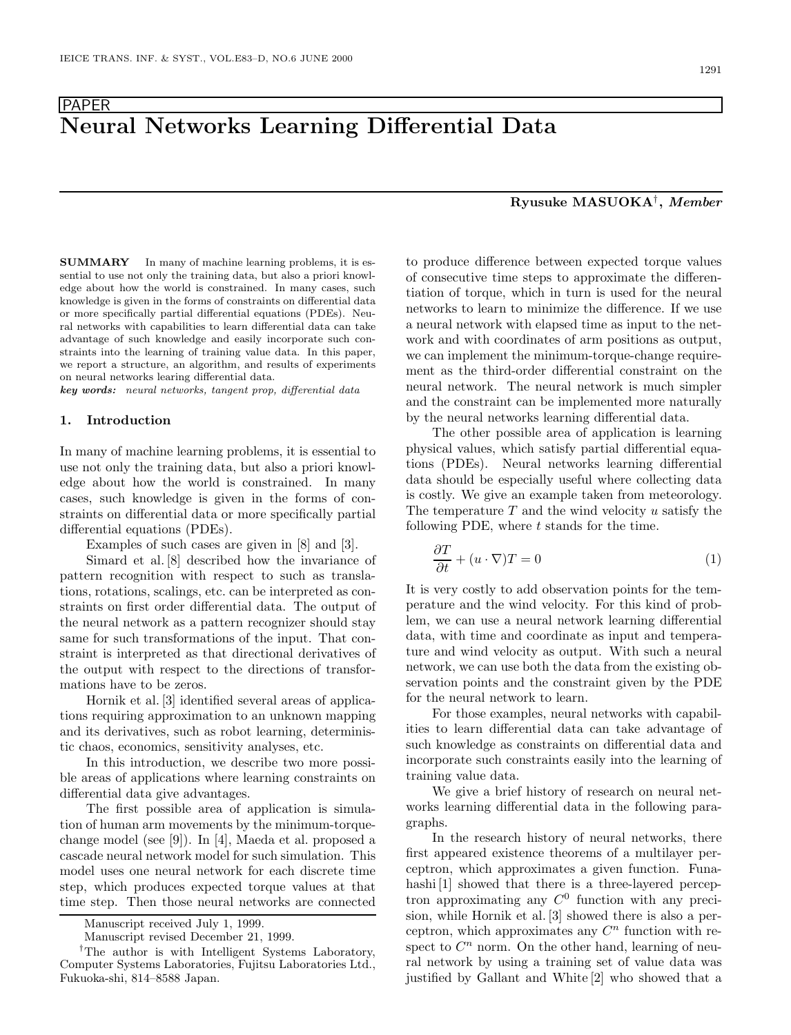# PAPER<br>Neural Networks Learning Differential Data **Neural Networks Learning Differential Data**

**SUMMARY** In many of machine learning problems, it is es-sential to use not only the training data, but also a priori knowledge about how the world is constrained. In many cases, such knowledge is given in the forms of constraints on differential data or more specifically partial differential equations (PDEs). Neural networks with capabilities to learn differential data can take advantage of such knowledge and easily incorporate such constraints into the learning of training value data. In this paper, we report a structure, an algorithm, and results of experiments on neural networks learing differential data.

*key words:* neural networks, tangent prop, differential data

#### **1. Introduction**

In many of machine learning problems, it is essential to use not only the training data, but also a priori knowledge about how the world is constrained. In many cases, such knowledge is given in the forms of constraints on differential data or more specifically partial differential equations (PDEs).

Examples of such cases are given in [8] and [3].

Simard et al. [8] described how the invariance of pattern recognition with respect to such as translations, rotations, scalings, etc. can be interpreted as constraints on first order differential data. The output of the neural network as a pattern recognizer should stay same for such transformations of the input. That constraint is interpreted as that directional derivatives of the output with respect to the directions of transformations have to be zeros.

Hornik et al. [3] identified several areas of applications requiring approximation to an unknown mapping and its derivatives, such as robot learning, deterministic chaos, economics, sensitivity analyses, etc.

In this introduction, we describe two more possible areas of applications where learning constraints on differential data give advantages.

The first possible area of application is simulation of human arm movements by the minimum-torquechange model (see [9]). In [4], Maeda et al. proposed a cascade neural network model for such simulation. This model uses one neural network for each discrete time step, which produces expected torque values at that time step. Then those neural networks are connected

to produce difference between expected torque values of consecutive time steps to approximate the differentiation of torque, which in turn is used for the neural networks to learn to minimize the difference. If we use a neural network with elapsed time as input to the network and with coordinates of arm positions as output, we can implement the minimum-torque-change requirement as the third-order differential constraint on the neural network. The neural network is much simpler and the constraint can be implemented more naturally by the neural networks learning differential data.

The other possible area of application is learning physical values, which satisfy partial differential equations (PDEs). Neural networks learning differential data should be especially useful where collecting data is costly. We give an example taken from meteorology. The temperature  $T$  and the wind velocity  $u$  satisfy the following PDE, where  $t$  stands for the time.

$$
\frac{\partial T}{\partial t} + (u \cdot \nabla)T = 0 \tag{1}
$$

It is very costly to add observation points for the temperature and the wind velocity. For this kind of problem, we can use a neural network learning differential data, with time and coordinate as input and temperature and wind velocity as output. With such a neural network, we can use both the data from the existing observation points and the constraint given by the PDE for the neural network to learn.

For those examples, neural networks with capabilities to learn differential data can take advantage of such knowledge as constraints on differential data and incorporate such constraints easily into the learning of training value data.

We give a brief history of research on neural networks learning differential data in the following paragraphs.

In the research history of neural networks, there first appeared existence theorems of a multilayer perceptron, which approximates a given function. Funahashi [1] showed that there is a three-layered perceptron approximating any  $C^0$  function with any precision, while Hornik et al. [3] showed there is also a perceptron, which approximates any  $C<sup>n</sup>$  function with respect to  $C<sup>n</sup>$  norm. On the other hand, learning of neural network by using a training set of value data was justified by Gallant and White [2] who showed that a

## **Ryusuke MASUOKA**†**,** *Member*

Manuscript received July 1, 1999.

Manuscript revised December 21, 1999.

*<sup>†</sup>*The author is with Intelligent Systems Laboratory, Computer Systems Laboratories, Fujitsu Laboratories Ltd., Fukuoka-shi, 814–8588 Japan.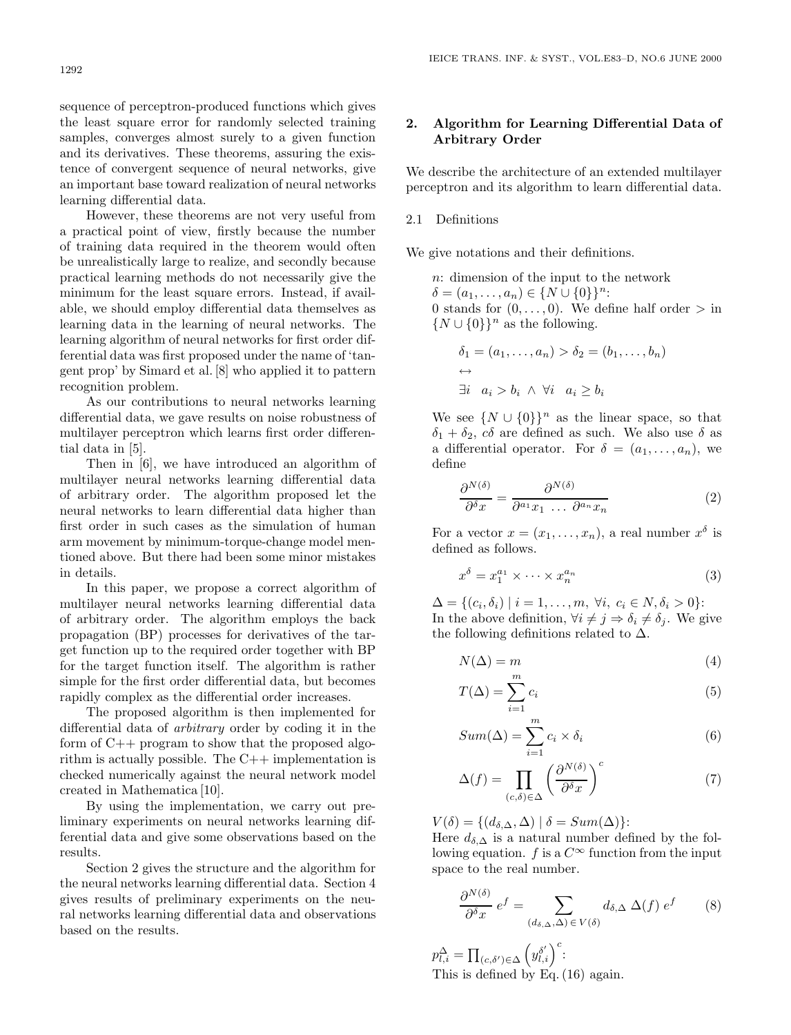sequence of perceptron-produced functions which gives the least square error for randomly selected training samples, converges almost surely to a given function and its derivatives. These theorems, assuring the existence of convergent sequence of neural networks, give an important base toward realization of neural networks learning differential data.

However, these theorems are not very useful from a practical point of view, firstly because the number of training data required in the theorem would often be unrealistically large to realize, and secondly because practical learning methods do not necessarily give the minimum for the least square errors. Instead, if available, we should employ differential data themselves as learning data in the learning of neural networks. The learning algorithm of neural networks for first order differential data was first proposed under the name of 'tangent prop' by Simard et al. [8] who applied it to pattern recognition problem.

As our contributions to neural networks learning differential data, we gave results on noise robustness of multilayer perceptron which learns first order differential data in [5].

Then in [6], we have introduced an algorithm of multilayer neural networks learning differential data of arbitrary order. The algorithm proposed let the neural networks to learn differential data higher than first order in such cases as the simulation of human arm movement by minimum-torque-change model mentioned above. But there had been some minor mistakes in details.

In this paper, we propose a correct algorithm of multilayer neural networks learning differential data of arbitrary order. The algorithm employs the back propagation (BP) processes for derivatives of the target function up to the required order together with BP for the target function itself. The algorithm is rather simple for the first order differential data, but becomes rapidly complex as the differential order increases.

The proposed algorithm is then implemented for differential data of *arbitrary* order by coding it in the form of C++ program to show that the proposed algorithm is actually possible. The C++ implementation is checked numerically against the neural network model created in Mathematica [10].

By using the implementation, we carry out preliminary experiments on neural networks learning differential data and give some observations based on the results.

Section 2 gives the structure and the algorithm for the neural networks learning differential data. Section 4 gives results of preliminary experiments on the neural networks learning differential data and observations based on the results.

## **2. Algorithm for Learning Differential Data of Arbitrary Order**

We describe the architecture of an extended multilayer perceptron and its algorithm to learn differential data.

## 2.1 Definitions

We give notations and their definitions.

n: dimension of the input to the network  $\delta = (a_1, \ldots, a_n) \in \{N \cup \{0\}\}^n$ : 0 stands for  $(0,\ldots,0)$ . We define half order  $>$  in  $\{N \cup \{0\}\}\$ <sup>n</sup> as the following.

$$
\delta_1 = (a_1, \dots, a_n) > \delta_2 = (b_1, \dots, b_n)
$$
  
\n
$$
\leftrightarrow \exists i \quad a_i > b_i \land \forall i \quad a_i \ge b_i
$$

We see  $\{N \cup \{0\}\}^n$  as the linear space, so that  $\delta_1 + \delta_2$ ,  $c\delta$  are defined as such. We also use  $\delta$  as a differential operator. For  $\delta = (a_1, \ldots, a_n)$ , we define

$$
\frac{\partial^{N(\delta)}}{\partial^{\delta} x} = \frac{\partial^{N(\delta)}}{\partial^{a_1} x_1 \dots \partial^{a_n} x_n} \tag{2}
$$

For a vector  $x = (x_1, \ldots, x_n)$ , a real number  $x^{\delta}$  is defined as follows.

$$
x^{\delta} = x_1^{a_1} \times \dots \times x_n^{a_n} \tag{3}
$$

 $\Delta = \{(c_i, \delta_i) \mid i = 1, \ldots, m, \forall i, c_i \in N, \delta_i > 0\}$ : In the above definition,  $\forall i \neq j \Rightarrow \delta_i \neq \delta_j$ . We give the following definitions related to  $\Delta$ .

$$
N(\Delta) = m \tag{4}
$$

$$
T(\Delta) = \sum_{i=1}^{m} c_i
$$
 (5)

$$
Sum(\Delta) = \sum_{i=1}^{m} c_i \times \delta_i
$$
\n(6)

$$
\Delta(f) = \prod_{(c,\delta)\in\Delta} \left(\frac{\partial^{N(\delta)}}{\partial^{\delta} x}\right)^c \tag{7}
$$

 $V(\delta) = \{ (d_{\delta,\Delta}, \Delta) | \delta = Sum(\Delta) \}.$ 

Here  $d_{\delta,\Delta}$  is a natural number defined by the following equation. f is a  $C^{\infty}$  function from the input space to the real number.

$$
\frac{\partial^{N(\delta)}}{\partial^{\delta}x} e^{f} = \sum_{(d_{\delta,\Delta},\Delta) \in V(\delta)} d_{\delta,\Delta} \Delta(f) e^{f} \qquad (8)
$$

 $p_{l,i}^{\Delta} = \prod_{(c,\delta')\in\Delta} \left(y_{l,i}^{\delta'}\right)^c$ This is defined by Eq. (16) again.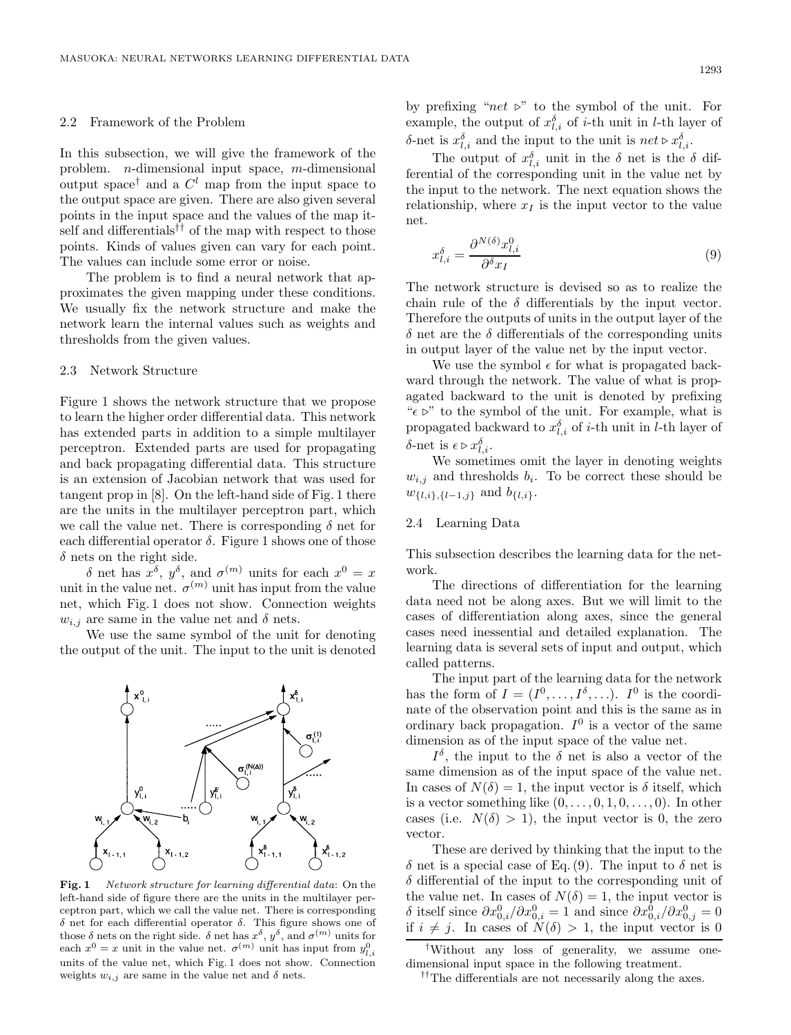#### 2.2 Framework of the Problem

In this subsection, we will give the framework of the problem. n-dimensional input space, m-dimensional output space<sup>†</sup> and a  $C^l$  map from the input space to the output space are given. There are also given several points in the input space and the values of the map itself and differentials<sup>††</sup> of the map with respect to those points. Kinds of values given can vary for each point. The values can include some error or noise.

The problem is to find a neural network that approximates the given mapping under these conditions. We usually fix the network structure and make the network learn the internal values such as weights and thresholds from the given values.

### 2.3 Network Structure

Figure 1 shows the network structure that we propose to learn the higher order differential data. This network has extended parts in addition to a simple multilayer perceptron. Extended parts are used for propagating and back propagating differential data. This structure is an extension of Jacobian network that was used for tangent prop in [8]. On the left-hand side of Fig. 1 there are the units in the multilayer perceptron part, which we call the value net. There is corresponding  $\delta$  net for each differential operator  $\delta$ . Figure 1 shows one of those  $\delta$  nets on the right side.

 $\delta$  net has  $\check{x}^{\delta}$ ,  $y^{\delta}$ , and  $\sigma^{(m)}$  units for each  $x^0 = x$ unit in the value net.  $\sigma^{(m)}$  unit has input from the value net, which Fig. 1 does not show. Connection weights  $w_{i,j}$  are same in the value net and  $\delta$  nets.

We use the same symbol of the unit for denoting the output of the unit. The input to the unit is denoted



**Fig. 1** Network structure for learning differential data: On the left-hand side of figure there are the units in the multilayer perceptron part, which we call the value net. There is corresponding δ net for each differential operator δ. This figure shows one of those  $\delta$  nets on the right side.  $\delta$  net has  $x^{\delta}$ ,  $y^{\delta}$ , and  $\sigma^{(m)}$  units for each  $x^0 = x$  unit in the value net.  $\sigma^{(m)}$  unit has input from  $y_{l,i}^0$ units of the value net, which Fig. 1 does not show. Connection weights  $w_{i,j}$  are same in the value net and  $\delta$  nets.

by prefixing " $net \geq$ " to the symbol of the unit. For example, the output of  $x_{l,i}^{\delta}$  of i-th unit in l-th layer of δ-net is  $x_{l,i}^{\delta}$  and the input to the unit is  $net \triangleright x_{l,i}^{\delta}$ .

The output of  $x_{l,i}^{\delta}$  unit in the  $\delta$  net is the  $\delta$  differential of the corresponding unit in the value net by the input to the network. The next equation shows the relationship, where  $x_I$  is the input vector to the value net.

$$
x_{l,i}^{\delta} = \frac{\partial^{N(\delta)} x_{l,i}^0}{\partial^{\delta} x_l} \tag{9}
$$

The network structure is devised so as to realize the chain rule of the  $\delta$  differentials by the input vector. Therefore the outputs of units in the output layer of the  $\delta$  net are the  $\delta$  differentials of the corresponding units in output layer of the value net by the input vector.

We use the symbol  $\epsilon$  for what is propagated backward through the network. The value of what is propagated backward to the unit is denoted by prefixing " $\epsilon$   $\triangleright$ " to the symbol of the unit. For example, what is propagated backward to  $x_{l,i}^{\delta}$  of *i*-th unit in *l*-th layer of δ-net is  $\epsilon \triangleright x_{l,i}^{\delta}$ .

We sometimes omit the layer in denoting weights  $w_{i,j}$  and thresholds  $b_i$ . To be correct these should be  $w_{\{l,i\},\{l-1,j\}}$  and  $b_{\{l,i\}}$ .

#### 2.4 Learning Data

This subsection describes the learning data for the network.

The directions of differentiation for the learning data need not be along axes. But we will limit to the cases of differentiation along axes, since the general cases need inessential and detailed explanation. The learning data is several sets of input and output, which called patterns.

The input part of the learning data for the network has the form of  $I = (I^0, \ldots, I^{\delta}, \ldots)$ . I<sup>0</sup> is the coordinate of the observation point and this is the same as in ordinary back propagation.  $I^0$  is a vector of the same dimension as of the input space of the value net.

 $I^{\delta}$ , the input to the  $\delta$  net is also a vector of the same dimension as of the input space of the value net. In cases of  $N(\delta) = 1$ , the input vector is  $\delta$  itself, which is a vector something like  $(0,\ldots,0,1,0,\ldots,0)$ . In other cases (i.e.  $N(\delta) > 1$ ), the input vector is 0, the zero vector.

These are derived by thinking that the input to the  $\delta$  net is a special case of Eq. (9). The input to  $\delta$  net is  $\delta$  differential of the input to the corresponding unit of the value net. In cases of  $N(\delta) = 1$ , the input vector is  $\delta$  itself since  $\partial x_{0,i}^0 / \partial x_{0,i}^0 = 1$  and since  $\partial x_{0,i}^0 / \partial x_{0,j}^0 = 0$ if  $i \neq j$ . In cases of  $N(\delta) > 1$ , the input vector is 0

*<sup>†</sup>*Without any loss of generality, we assume onedimensional input space in the following treatment.

*<sup>††</sup>*The differentials are not necessarily along the axes.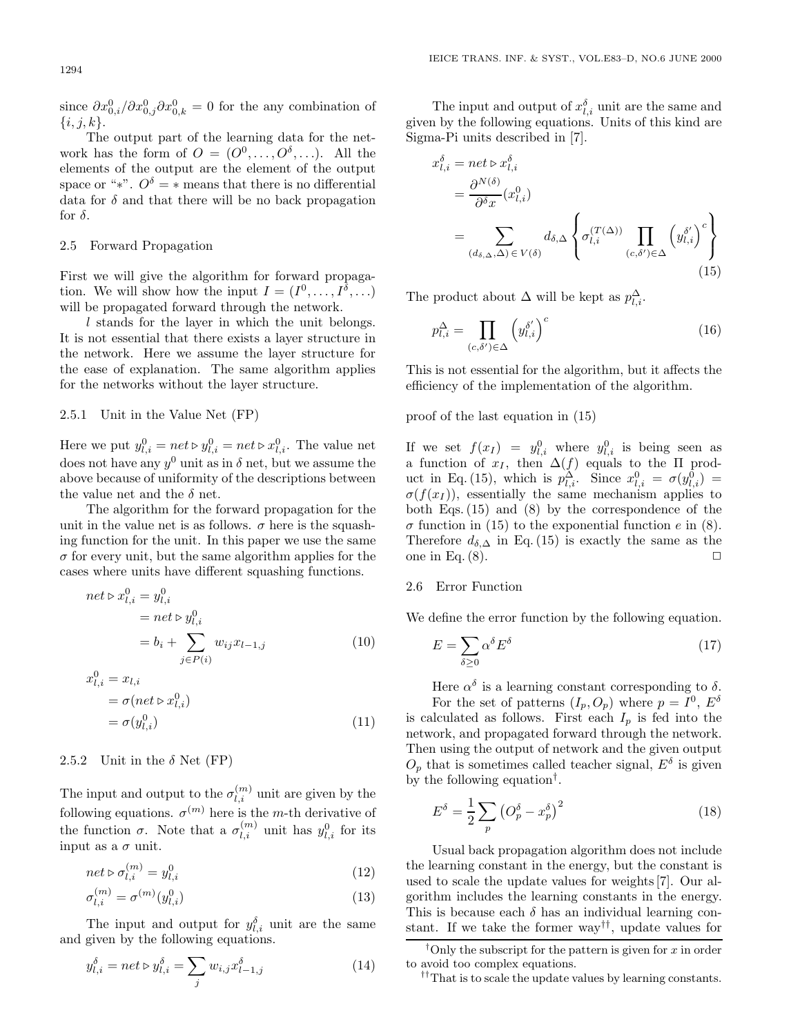since  $\partial x_{0,i}^0/\partial x_{0,j}^0 \partial x_{0,k}^0 = 0$  for the any combination of  $\{i, j, k\}.$ 

The output part of the learning data for the network has the form of  $O = (O^0, \ldots, O^{\delta}, \ldots)$ . All the elements of the output are the element of the output space or "\*".  $O^{\delta} = *$  means that there is no differential data for  $\delta$  and that there will be no back propagation for  $\delta$ .

## 2.5 Forward Propagation

First we will give the algorithm for forward propagation. We will show how the input  $I = (I^0, \ldots, I^{\delta}, \ldots)$ will be propagated forward through the network.

l stands for the layer in which the unit belongs. It is not essential that there exists a layer structure in the network. Here we assume the layer structure for the ease of explanation. The same algorithm applies for the networks without the layer structure.

### 2.5.1 Unit in the Value Net (FP)

Here we put  $y_{l,i}^0 = net \triangleright y_{l,i}^0 = net \triangleright x_{l,i}^0$ . The value net does not have any  $y^0$  unit as in  $\delta$  net, but we assume the above because of uniformity of the descriptions between the value net and the  $\delta$  net.

The algorithm for the forward propagation for the unit in the value net is as follows.  $\sigma$  here is the squashing function for the unit. In this paper we use the same  $\sigma$  for every unit, but the same algorithm applies for the cases where units have different squashing functions.

$$
net \triangleright x_{l,i}^{0} = y_{l,i}^{0}
$$
  
=  $net \triangleright y_{l,i}^{0}$   
=  $b_i + \sum_{j \in P(i)} w_{ij} x_{l-1,j}$  (10)

$$
x_{l,i}^0 = x_{l,i}
$$
  
=  $\sigma(net \triangleright x_{l,i}^0)$   
=  $\sigma(y_{l,i}^0)$  (11)

#### 2.5.2 Unit in the  $\delta$  Net (FP)

The input and output to the  $\sigma_{l,i}^{(m)}$  unit are given by the following equations.  $\sigma^{(m)}$  here is the m-th derivative of the function  $\sigma$ . Note that a  $\sigma_{l,i}^{(m)}$  unit has  $y_{l,i}^0$  for its input as a  $\sigma$  unit.

$$
net \triangleright \sigma_{l,i}^{(m)} = y_{l,i}^0 \tag{12}
$$

$$
\sigma_{l,i}^{(m)} = \sigma^{(m)}(y_{l,i}^0)
$$
\n(13)

The input and output for  $y_{l,i}^{\delta}$  unit are the same and given by the following equations.

$$
y_{l,i}^{\delta} = net \triangleright y_{l,i}^{\delta} = \sum_{j} w_{i,j} x_{l-1,j}^{\delta}
$$
 (14)

The input and output of  $x_{l,i}^{\delta}$  unit are the same and given by the following equations. Units of this kind are Sigma-Pi units described in [7].

$$
x_{l,i}^{\delta} = net \triangleright x_{l,i}^{\delta}
$$
  
= 
$$
\frac{\partial^{N(\delta)}}{\partial^{\delta} x} (x_{l,i}^{0})
$$
  
= 
$$
\sum_{(d_{\delta,\Delta},\Delta) \in V(\delta)} d_{\delta,\Delta} \left\{ \sigma_{l,i}^{(T(\Delta))} \prod_{(c,\delta') \in \Delta} \left( y_{l,i}^{\delta'} \right)^{c} \right\}
$$
  
(15)

The product about  $\Delta$  will be kept as  $p_{l,i}^{\Delta}$ .

$$
p_{l,i}^{\Delta} = \prod_{(c,\delta') \in \Delta} \left( y_{l,i}^{\delta'} \right)^c \tag{16}
$$

This is not essential for the algorithm, but it affects the efficiency of the implementation of the algorithm.

proof of the last equation in (15)

If we set  $f(x_I) = y_{l,i}^0$  where  $y_{l,i}^0$  is being seen as a function of  $x_I$ , then  $\Delta(f)$  equals to the  $\Pi$  product in Eq. (15), which is  $p_{l,i}^{\Delta}$ . Since  $x_{l,i}^0 = \sigma(y_{l,i}^0)$  $\sigma(f(x_I))$ , essentially the same mechanism applies to both Eqs. (15) and (8) by the correspondence of the  $\sigma$  function in (15) to the exponential function e in (8). Therefore  $d_{\delta,\Delta}$  in Eq. (15) is exactly the same as the one in Eq.  $(8)$ .

### 2.6 Error Function

We define the error function by the following equation.

$$
E = \sum_{\delta \ge 0} \alpha^{\delta} E^{\delta} \tag{17}
$$

Here  $\alpha^{\delta}$  is a learning constant corresponding to  $\delta$ . For the set of patterns  $(I_p, O_p)$  where  $p = I^0$ ,  $E^{\delta}$ is calculated as follows. First each  $I_p$  is fed into the network, and propagated forward through the network. Then using the output of network and the given output  $O_p$  that is sometimes called teacher signal,  $E^{\delta}$  is given by the following equation†.

$$
E^{\delta} = \frac{1}{2} \sum_{p} \left( O_p^{\delta} - x_p^{\delta} \right)^2 \tag{18}
$$

Usual back propagation algorithm does not include the learning constant in the energy, but the constant is used to scale the update values for weights [7]. Our algorithm includes the learning constants in the energy. This is because each  $\delta$  has an individual learning constant. If we take the former way††, update values for

*††*That is to scale the update values by learning constants.

<sup>&</sup>lt;sup>†</sup>Only the subscript for the pattern is given for  $x$  in order to avoid too complex equations.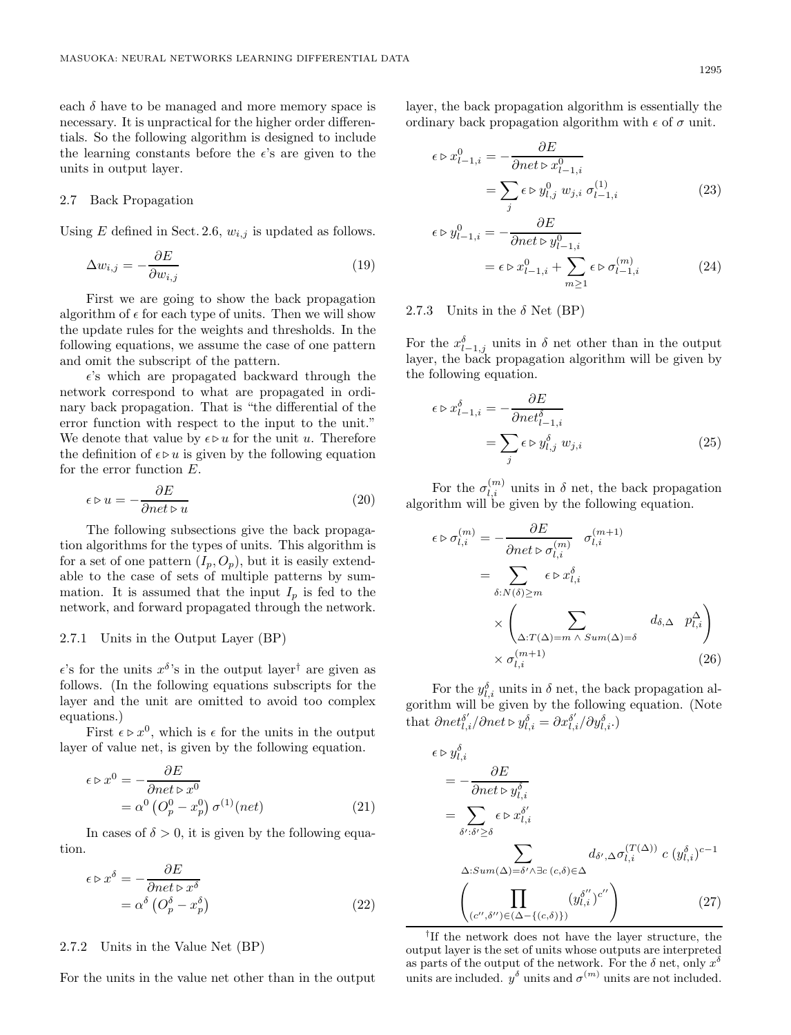each  $\delta$  have to be managed and more memory space is necessary. It is unpractical for the higher order differentials. So the following algorithm is designed to include the learning constants before the  $\epsilon$ 's are given to the units in output layer.

#### 2.7 Back Propagation

Using  $E$  defined in Sect. 2.6,  $w_{i,j}$  is updated as follows.

$$
\Delta w_{i,j} = -\frac{\partial E}{\partial w_{i,j}}\tag{19}
$$

First we are going to show the back propagation algorithm of  $\epsilon$  for each type of units. Then we will show the update rules for the weights and thresholds. In the following equations, we assume the case of one pattern and omit the subscript of the pattern.

 $\epsilon$  's which are propagated backward through the network correspond to what are propagated in ordinary back propagation. That is "the differential of the error function with respect to the input to the unit." We denote that value by  $\epsilon \triangleright u$  for the unit u. Therefore the definition of  $\epsilon \triangleright u$  is given by the following equation for the error function E.

$$
\epsilon \triangleright u = - \frac{\partial E}{\partial net \triangleright u} \eqno(20)
$$

The following subsections give the back propagation algorithms for the types of units. This algorithm is for a set of one pattern  $(I_n, O_n)$ , but it is easily extendable to the case of sets of multiple patterns by summation. It is assumed that the input  $I_p$  is fed to the network, and forward propagated through the network.

#### 2.7.1 Units in the Output Layer (BP)

 $\epsilon$ 's for the units  $x^{\delta}$ 's in the output layer<sup>†</sup> are given as follows. (In the following equations subscripts for the layer and the unit are omitted to avoid too complex equations.)

First  $\epsilon \triangleright x^0$ , which is  $\epsilon$  for the units in the output layer of value net, is given by the following equation.

$$
\epsilon \triangleright x^0 = -\frac{\partial E}{\partial net \triangleright x^0}
$$
  
=  $\alpha^0 \left( O_p^0 - x_p^0 \right) \sigma^{(1)}(net)$  (21)

In cases of  $\delta > 0$ , it is given by the following equation.

$$
\epsilon \triangleright x^{\delta} = -\frac{\partial E}{\partial net \triangleright x^{\delta}}
$$
  
=  $\alpha^{\delta} \left( O_p^{\delta} - x_p^{\delta} \right)$  (22)

#### 2.7.2 Units in the Value Net (BP)

For the units in the value net other than in the output

layer, the back propagation algorithm is essentially the ordinary back propagation algorithm with  $\epsilon$  of  $\sigma$  unit.

$$
\epsilon \triangleright x_{l-1,i}^0 = -\frac{\partial E}{\partial net \triangleright x_{l-1,i}^0}
$$

$$
= \sum_j \epsilon \triangleright y_{l,j}^0 w_{j,i} \sigma_{l-1,i}^{(1)}
$$
(23)

$$
\epsilon \triangleright y_{l-1,i}^{0} = -\frac{\partial E}{\partial net \triangleright y_{l-1,i}^{0}}
$$
  
=  $\epsilon \triangleright x_{l-1,i}^{0} + \sum_{m \ge 1} \epsilon \triangleright \sigma_{l-1,i}^{(m)}$  (24)

### 2.7.3 Units in the  $\delta$  Net (BP)

For the  $x_{l-1,j}^{\delta}$  units in  $\delta$  net other than in the output layer, the back propagation algorithm will be given by the following equation.

$$
\epsilon \triangleright x_{l-1,i}^{\delta} = -\frac{\partial E}{\partial net_{l-1,i}^{\delta}}
$$

$$
= \sum_{j} \epsilon \triangleright y_{l,j}^{\delta} w_{j,i}
$$
(25)

For the  $\sigma_{l,i}^{(m)}$  units in  $\delta$  net, the back propagation algorithm will be given by the following equation.

$$
\epsilon \triangleright \sigma_{l,i}^{(m)} = -\frac{\partial E}{\partial net \triangleright \sigma_{l,i}^{(m)}} \sigma_{l,i}^{(m+1)}
$$

$$
= \sum_{\delta: N(\delta) \ge m} \epsilon \triangleright x_{l,i}^{\delta}
$$

$$
\times \left( \sum_{\Delta: T(\Delta) = m} \sum_{\delta: sum(\Delta) = \delta} d_{\delta, \Delta} \ p_{l,i}^{\Delta} \right)
$$

$$
\times \sigma_{l,i}^{(m+1)} \tag{26}
$$

For the  $y_{l,i}^{\delta}$  units in  $\delta$  net, the back propagation algorithm will be given by the following equation. (Note that  $\partial net_{l,i}^{\delta'} / \partial net \triangleright y_{l,i}^{\delta} = \partial x_{l,i}^{\delta'} / \partial y_{l,i}^{\delta}.$ 

$$
\epsilon \triangleright y_{l,i}^{\delta}
$$
\n
$$
= -\frac{\partial E}{\partial net \triangleright y_{l,i}^{\delta}}
$$
\n
$$
= \sum_{\delta':\delta' \ge \delta} \epsilon \triangleright x_{l,i}^{\delta'}
$$
\n
$$
\sum_{\Delta:Sum(\Delta) = \delta' \land \exists c \ (c,\delta) \in \Delta} d_{\delta',\Delta} \sigma_{l,i}^{(T(\Delta))} c \ (y_{l,i}^{\delta})^{c-1}
$$
\n
$$
\left(\prod_{(c'',\delta'') \in (\Delta - \{(c,\delta)\})} (y_{l,i}^{\delta''})^{c''}\right) \tag{27}
$$

*†*If the network does not have the layer structure, the output layer is the set of units whose outputs are interpreted as parts of the output of the network. For the  $\delta$  net, only  $x^{\delta}$ units are included.  $y^{\delta}$  units and  $\sigma^{(m)}$  units are not included.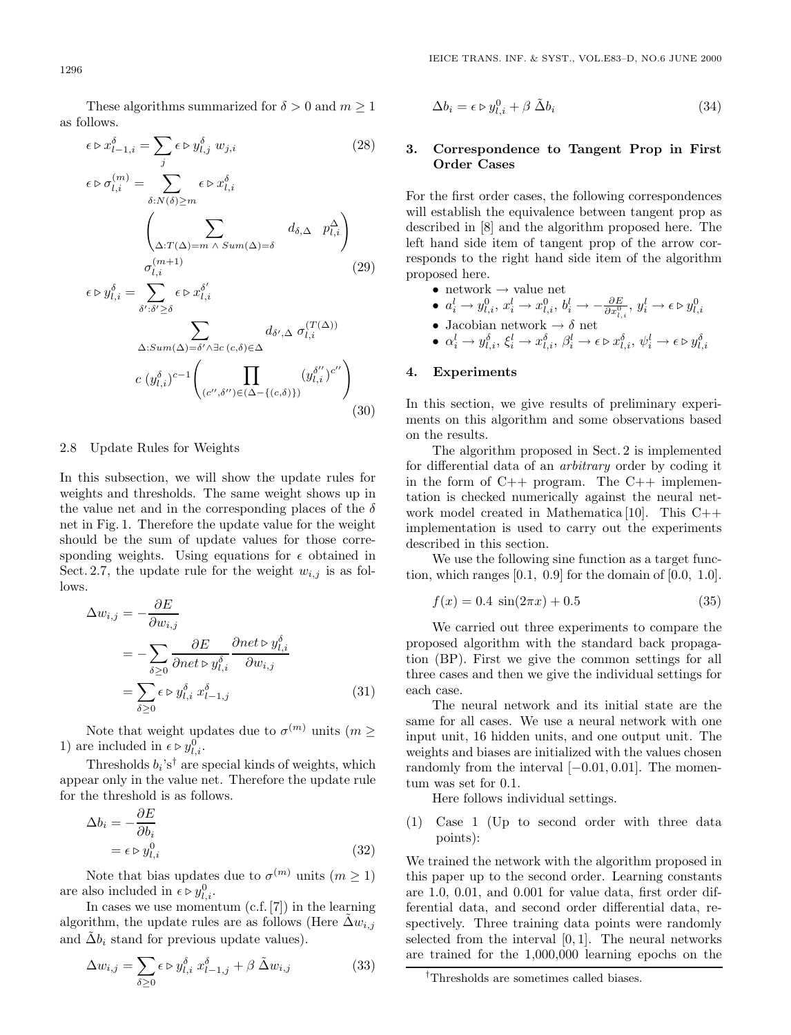These algorithms summarized for  $\delta > 0$  and  $m \ge 1$ as follows.

$$
\epsilon \triangleright x_{l-1,i}^{\delta} = \sum_{j} \epsilon \triangleright y_{l,j}^{\delta} w_{j,i}
$$
 (28)

$$
\epsilon \triangleright \sigma_{l,i}^{(m)} = \sum_{\delta: N(\delta) \ge m} \epsilon \triangleright x_{l,i}^{\delta}
$$
\n
$$
\left(\sum_{\Delta: T(\Delta) = m \land Sum(\Delta) = \delta} d_{\delta, \Delta} p_{l,i}^{\Delta}\right)
$$
\n
$$
\sigma_{l,i}^{(m+1)} \tag{29}
$$
\n
$$
\epsilon \triangleright y_{l,i}^{\delta} = \sum_{\delta': \delta' \ge \delta} \epsilon \triangleright x_{l,i}^{\delta'}
$$
\n
$$
\sum_{\Delta: Sum(\Delta) = \delta' \land \exists c \ (c, \delta) \in \Delta} d_{\delta', \Delta} \sigma_{l,i}^{(T(\Delta))}
$$
\n
$$
c (y_{l,i}^{\delta})^{c-1} \left(\prod_{(c'', \delta'') \in (\Delta - \{(c, \delta)\})} (y_{l,i}^{\delta''})^{c''}\right)
$$
\n(30)

#### 2.8 Update Rules for Weights

In this subsection, we will show the update rules for weights and thresholds. The same weight shows up in the value net and in the corresponding places of the  $\delta$ net in Fig. 1. Therefore the update value for the weight should be the sum of update values for those corresponding weights. Using equations for  $\epsilon$  obtained in Sect. 2.7, the update rule for the weight  $w_{i,j}$  is as follows.

$$
\Delta w_{i,j} = -\frac{\partial E}{\partial w_{i,j}}\n= -\sum_{\delta \ge 0} \frac{\partial E}{\partial net \triangleright y_{l,i}^{\delta}} \frac{\partial net \triangleright y_{l,i}^{\delta}}{\partial w_{i,j}}\n= \sum_{\delta \ge 0} \epsilon \triangleright y_{l,i}^{\delta} x_{l-1,j}^{\delta}
$$
\n(31)

Note that weight updates due to  $\sigma^{(m)}$  units  $(m >$ 1) are included in  $\epsilon \triangleright y_{l,i}^0$ .

Thresholds  $b_i$ 's<sup>†</sup> are special kinds of weights, which appear only in the value net. Therefore the update rule for the threshold is as follows.

$$
\Delta b_i = -\frac{\partial E}{\partial b_i} \n= \epsilon \triangleright y_{l,i}^0
$$
\n(32)

Note that bias updates due to  $\sigma^{(m)}$  units  $(m \geq 1)$ are also included in  $\epsilon \triangleright y_{l,i}^0$ .

In cases we use momentum (c.f. [7]) in the learning algorithm, the update rules are as follows (Here  $\Delta w_{i,j}$ and  $\tilde{\Delta}b_i$  stand for previous update values).

$$
\Delta w_{i,j} = \sum_{\delta \ge 0} \epsilon \triangleright y_{l,i}^{\delta} x_{l-1,j}^{\delta} + \beta \tilde{\Delta} w_{i,j}
$$
 (33)

$$
\Delta b_i = \epsilon \triangleright y_{l,i}^0 + \beta \tilde{\Delta} b_i \tag{34}
$$

## **3. Correspondence to Tangent Prop in First Order Cases**

For the first order cases, the following correspondences will establish the equivalence between tangent prop as described in [8] and the algorithm proposed here. The left hand side item of tangent prop of the arrow corresponds to the right hand side item of the algorithm proposed here.

- network  $\rightarrow$  value net
- $a_i^l \rightarrow y_{l,i}^0$ ,  $x_i^l \rightarrow x_{l,i}^0$ ,  $b_i^l \rightarrow -\frac{\partial E}{\partial x_i^0}$ ,  $y_i^l \rightarrow \epsilon \triangleright y_{l,i}^0$
- Jacobian network  $\rightarrow \delta$  net
- $\alpha_i^l \rightarrow y_{l,i}^{\delta}, \xi_i^l \rightarrow x_{l,i}^{\delta}, \beta_i^l \rightarrow \epsilon \triangleright x_{l,i}^{\delta}, \psi_i^l \rightarrow \epsilon \triangleright y_{l,i}^{\delta}$

## **4. Experiments**

In this section, we give results of preliminary experiments on this algorithm and some observations based on the results.

The algorithm proposed in Sect. 2 is implemented for differential data of an *arbitrary* order by coding it in the form of C++ program. The C++ implementation is checked numerically against the neural network model created in Mathematica [10]. This C++ implementation is used to carry out the experiments described in this section.

We use the following sine function as a target function, which ranges  $[0.1, 0.9]$  for the domain of  $[0.0, 1.0]$ .

$$
f(x) = 0.4 \sin(2\pi x) + 0.5 \tag{35}
$$

We carried out three experiments to compare the proposed algorithm with the standard back propagation (BP). First we give the common settings for all three cases and then we give the individual settings for each case.

The neural network and its initial state are the same for all cases. We use a neural network with one input unit, 16 hidden units, and one output unit. The weights and biases are initialized with the values chosen randomly from the interval  $[-0.01, 0.01]$ . The momentum was set for 0.1.

Here follows individual settings.

(1) Case 1 (Up to second order with three data points):

We trained the network with the algorithm proposed in this paper up to the second order. Learning constants are 1.0, 0.01, and 0.001 for value data, first order differential data, and second order differential data, respectively. Three training data points were randomly selected from the interval  $[0, 1]$ . The neural networks are trained for the 1,000,000 learning epochs on the

*<sup>†</sup>*Thresholds are sometimes called biases.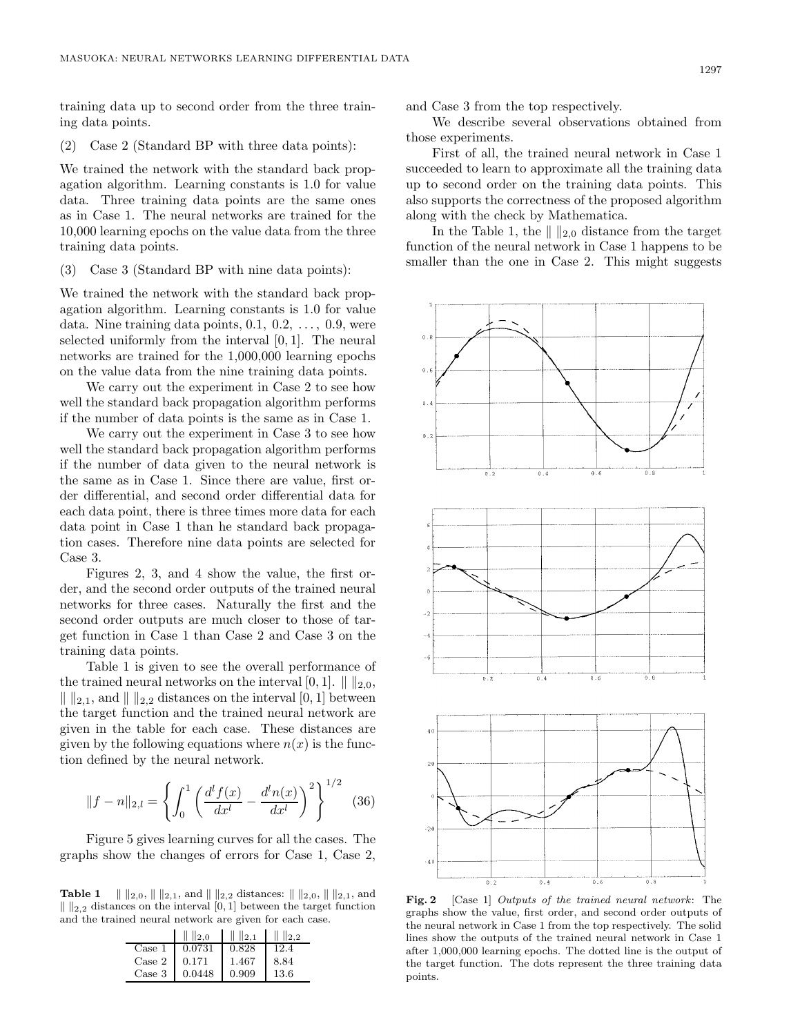training data up to second order from the three training data points.

#### (2) Case 2 (Standard BP with three data points):

We trained the network with the standard back propagation algorithm. Learning constants is 1.0 for value data. Three training data points are the same ones as in Case 1. The neural networks are trained for the 10,000 learning epochs on the value data from the three training data points.

(3) Case 3 (Standard BP with nine data points):

We trained the network with the standard back propagation algorithm. Learning constants is 1.0 for value data. Nine training data points, 0.1, 0.2, ..., 0.9, were selected uniformly from the interval [0, 1]. The neural networks are trained for the 1,000,000 learning epochs on the value data from the nine training data points.

We carry out the experiment in Case 2 to see how well the standard back propagation algorithm performs if the number of data points is the same as in Case 1.

We carry out the experiment in Case 3 to see how well the standard back propagation algorithm performs if the number of data given to the neural network is the same as in Case 1. Since there are value, first order differential, and second order differential data for each data point, there is three times more data for each data point in Case 1 than he standard back propagation cases. Therefore nine data points are selected for Case 3.

Figures 2, 3, and 4 show the value, the first order, and the second order outputs of the trained neural networks for three cases. Naturally the first and the second order outputs are much closer to those of target function in Case 1 than Case 2 and Case 3 on the training data points.

Table 1 is given to see the overall performance of the trained neural networks on the interval [0, 1].  $\| \cdot \|_{2,0}$ ,  $\| \n_2\|_{2,1}$ , and  $\| \n_2\|_2$  distances on the interval [0, 1] between the target function and the trained neural network are given in the table for each case. These distances are given by the following equations where  $n(x)$  is the function defined by the neural network.

$$
||f - n||_{2,l} = \left\{ \int_0^1 \left( \frac{d^l f(x)}{dx^l} - \frac{d^l n(x)}{dx^l} \right)^2 \right\}^{1/2} \tag{36}
$$

Figure 5 gives learning curves for all the cases. The graphs show the changes of errors for Case 1, Case 2,

**Table 1**  $\| \|_{2,0}, \| \|_{2,1}$ , and  $\| \|_{2,2}$  distances:  $\| \|_{2,0}, \| \|_{2,1}$ , and  $\| \ \|_{2,2}$  distances on the interval [0, 1] between the target function and the trained neural network are given for each case.

|                 | $\  \ _{2,0}$  | $\ \ $ $\ _{2,1}$ | $\  \ _{2,2}$ |
|-----------------|----------------|-------------------|---------------|
| $\text{Case} 1$ | 0.0731         | 0.828             | 12.4          |
| Case 2          | 0.171          | 1.467             | 8.84          |
| Case 3          | $0.0448$ 0.909 |                   | -13.6         |

and Case 3 from the top respectively.

We describe several observations obtained from those experiments.

First of all, the trained neural network in Case 1 succeeded to learn to approximate all the training data up to second order on the training data points. This also supports the correctness of the proposed algorithm along with the check by Mathematica.

In the Table 1, the  $\| \cdot \|_{2,0}$  distance from the target function of the neural network in Case 1 happens to be smaller than the one in Case 2. This might suggests



**Fig. 2** [Case 1] Outputs of the trained neural network: The graphs show the value, first order, and second order outputs of the neural network in Case 1 from the top respectively. The solid lines show the outputs of the trained neural network in Case 1 after 1,000,000 learning epochs. The dotted line is the output of the target function. The dots represent the three training data points.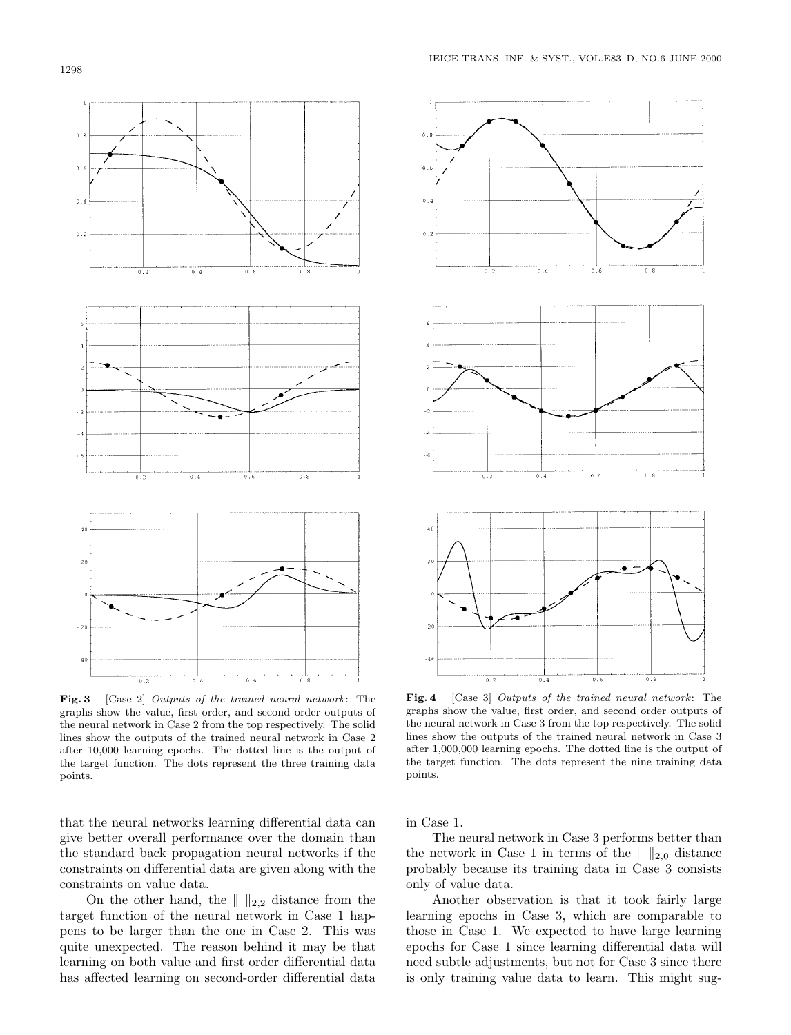

**Fig. 3** [Case 2] Outputs of the trained neural network: The graphs show the value, first order, and second order outputs of the neural network in Case 2 from the top respectively. The solid lines show the outputs of the trained neural network in Case 2 after 10,000 learning epochs. The dotted line is the output of the target function. The dots represent the three training data points.

that the neural networks learning differential data can give better overall performance over the domain than the standard back propagation neural networks if the constraints on differential data are given along with the constraints on value data.

On the other hand, the  $\| \cdot \|_{2,2}$  distance from the target function of the neural network in Case 1 happens to be larger than the one in Case 2. This was quite unexpected. The reason behind it may be that learning on both value and first order differential data has affected learning on second-order differential data



**Fig. 4** [Case 3] Outputs of the trained neural network: The graphs show the value, first order, and second order outputs of the neural network in Case 3 from the top respectively. The solid lines show the outputs of the trained neural network in Case 3 after 1,000,000 learning epochs. The dotted line is the output of the target function. The dots represent the nine training data points.

in Case 1.

The neural network in Case 3 performs better than the network in Case 1 in terms of the  $\| \ \|_{2,0}$  distance probably because its training data in Case 3 consists only of value data.

Another observation is that it took fairly large learning epochs in Case 3, which are comparable to those in Case 1. We expected to have large learning epochs for Case 1 since learning differential data will need subtle adjustments, but not for Case 3 since there is only training value data to learn. This might sug-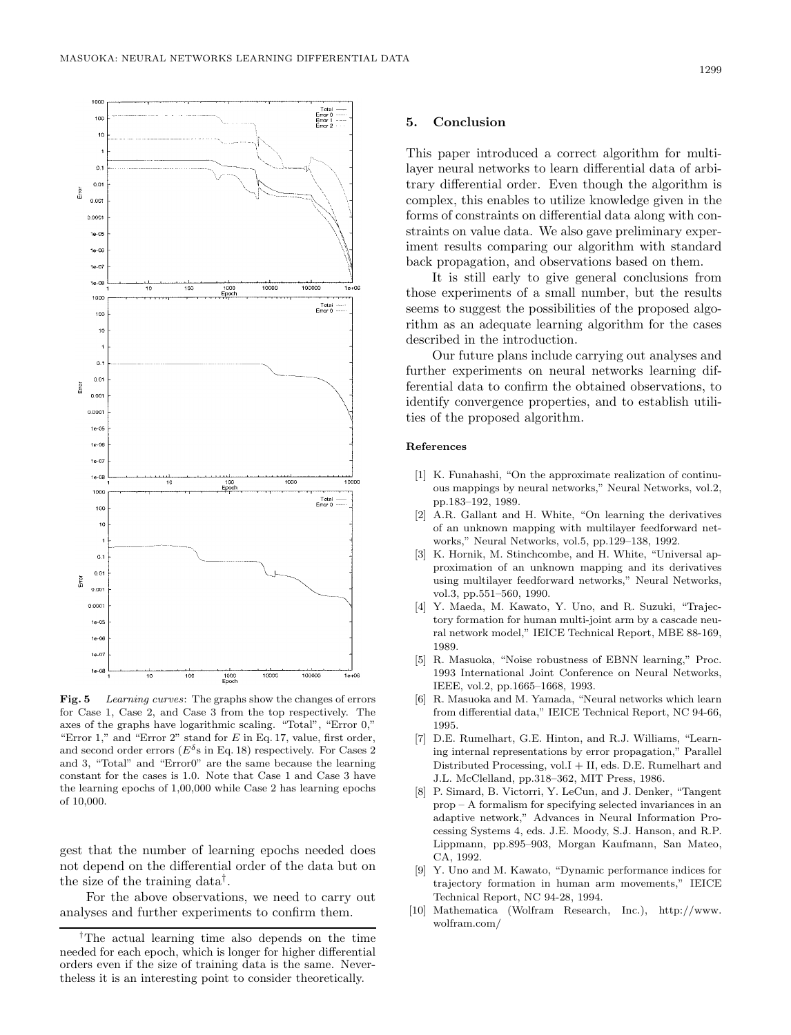

**Fig. 5** Learning curves: The graphs show the changes of errors for Case 1, Case 2, and Case 3 from the top respectively. The axes of the graphs have logarithmic scaling. "Total", "Error 0," "Error 1," and "Error 2" stand for  $E$  in Eq. 17, value, first order, and second order errors ( $E^{\delta}$ s in Eq. 18) respectively. For Cases 2 and 3, "Total" and "Error0" are the same because the learning constant for the cases is 1.0. Note that Case 1 and Case 3 have the learning epochs of 1,00,000 while Case 2 has learning epochs of 10,000.

gest that the number of learning epochs needed does not depend on the differential order of the data but on the size of the training data†.

For the above observations, we need to carry out analyses and further experiments to confirm them.

#### **5. Conclusion**

This paper introduced a correct algorithm for multilayer neural networks to learn differential data of arbitrary differential order. Even though the algorithm is complex, this enables to utilize knowledge given in the forms of constraints on differential data along with constraints on value data. We also gave preliminary experiment results comparing our algorithm with standard back propagation, and observations based on them.

It is still early to give general conclusions from those experiments of a small number, but the results seems to suggest the possibilities of the proposed algorithm as an adequate learning algorithm for the cases described in the introduction.

Our future plans include carrying out analyses and further experiments on neural networks learning differential data to confirm the obtained observations, to identify convergence properties, and to establish utilities of the proposed algorithm.

#### References

- [1] K. Funahashi, "On the approximate realization of continuous mappings by neural networks," Neural Networks, vol.2, pp.183–192, 1989.
- [2] A.R. Gallant and H. White, "On learning the derivatives of an unknown mapping with multilayer feedforward networks," Neural Networks, vol.5, pp.129–138, 1992.
- [3] K. Hornik, M. Stinchcombe, and H. White, "Universal approximation of an unknown mapping and its derivatives using multilayer feedforward networks," Neural Networks, vol.3, pp.551–560, 1990.
- [4] Y. Maeda, M. Kawato, Y. Uno, and R. Suzuki, "Trajectory formation for human multi-joint arm by a cascade neural network model," IEICE Technical Report, MBE 88-169, 1989.
- [5] R. Masuoka, "Noise robustness of EBNN learning," Proc. 1993 International Joint Conference on Neural Networks, IEEE, vol.2, pp.1665–1668, 1993.
- [6] R. Masuoka and M. Yamada, "Neural networks which learn from differential data," IEICE Technical Report, NC 94-66, 1995.
- [7] D.E. Rumelhart, G.E. Hinton, and R.J. Williams, "Learning internal representations by error propagation," Parallel Distributed Processing, vol.I + II, eds. D.E. Rumelhart and J.L. McClelland, pp.318–362, MIT Press, 1986.
- [8] P. Simard, B. Victorri, Y. LeCun, and J. Denker, "Tangent prop – A formalism for specifying selected invariances in an adaptive network," Advances in Neural Information Processing Systems 4, eds. J.E. Moody, S.J. Hanson, and R.P. Lippmann, pp.895–903, Morgan Kaufmann, San Mateo, CA, 1992.
- [9] Y. Uno and M. Kawato, "Dynamic performance indices for trajectory formation in human arm movements," IEICE Technical Report, NC 94-28, 1994.
- [10] Mathematica (Wolfram Research, Inc.), http://www. wolfram.com/

*<sup>†</sup>* The actual learning time also depends on the time needed for each epoch, which is longer for higher differential orders even if the size of training data is the same. Nevertheless it is an interesting point to consider theoretically.